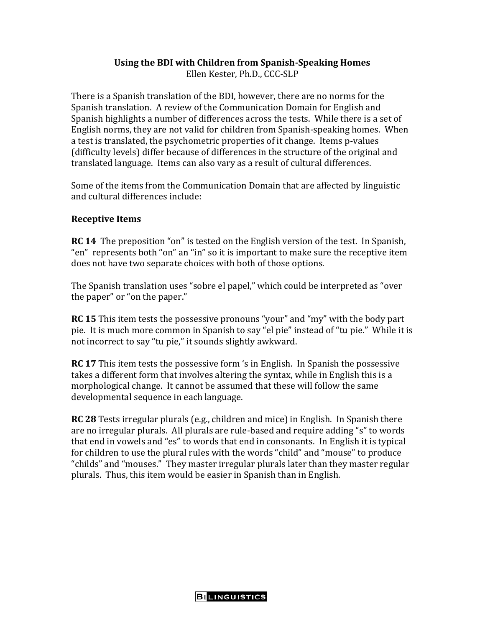## **Using the BDI with Children from Spanish-Speaking Homes**

Ellen Kester, Ph.D., CCC-SLP

There is a Spanish translation of the BDI, however, there are no norms for the Spanish translation. A review of the Communication Domain for English and Spanish highlights a number of differences across the tests. While there is a set of English norms, they are not valid for children from Spanish-speaking homes. When a test is translated, the psychometric properties of it change. Items p-values (difficulty levels) differ because of differences in the structure of the original and translated language. Items can also vary as a result of cultural differences.

Some of the items from the Communication Domain that are affected by linguistic and cultural differences include:

## **Receptive Items**

**RC 14** The preposition "on" is tested on the English version of the test. In Spanish, "en" represents both "on" an "in" so it is important to make sure the receptive item does not have two separate choices with both of those options.

The Spanish translation uses "sobre el papel," which could be interpreted as "over the paper" or "on the paper."

**RC 15** This item tests the possessive pronouns "your" and "my" with the body part pie. It is much more common in Spanish to say "el pie" instead of "tu pie." While it is not incorrect to say "tu pie," it sounds slightly awkward.

**RC 17** This item tests the possessive form 's in English. In Spanish the possessive takes a different form that involves altering the syntax, while in English this is a morphological change. It cannot be assumed that these will follow the same developmental sequence in each language.

**RC 28** Tests irregular plurals (e.g., children and mice) in English. In Spanish there are no irregular plurals. All plurals are rule-based and require adding "s" to words that end in vowels and "es" to words that end in consonants. In English it is typical for children to use the plural rules with the words "child" and "mouse" to produce "childs" and "mouses." They master irregular plurals later than they master regular plurals. Thus, this item would be easier in Spanish than in English.

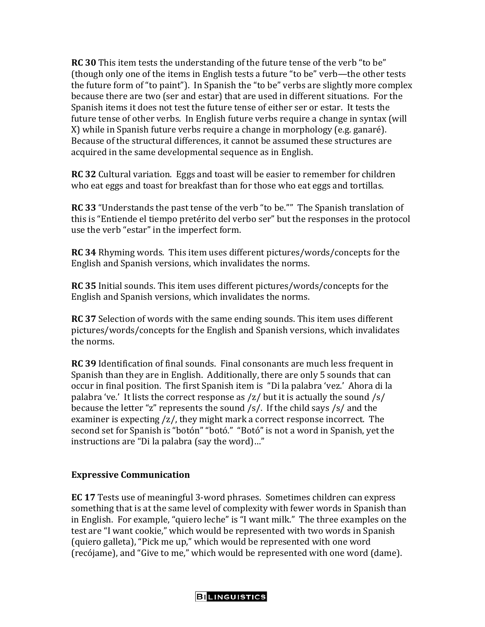**RC 30** This item tests the understanding of the future tense of the verb "to be" (though only one of the items in English tests a future "to be" verb—the other tests the future form of "to paint"). In Spanish the "to be" verbs are slightly more complex because there are two (ser and estar) that are used in different situations. For the Spanish items it does not test the future tense of either ser or estar. It tests the future tense of other verbs. In English future verbs require a change in syntax (will X) while in Spanish future verbs require a change in morphology (e.g. ganaré). Because of the structural differences, it cannot be assumed these structures are acquired in the same developmental sequence as in English.

**RC 32** Cultural variation. Eggs and toast will be easier to remember for children who eat eggs and toast for breakfast than for those who eat eggs and tortillas.

**RC 33** "Understands the past tense of the verb "to be."" The Spanish translation of this is "Entiende el tiempo pretérito del verbo ser" but the responses in the protocol use the verb "estar" in the imperfect form.

**RC 34** Rhyming words. This item uses different pictures/words/concepts for the English and Spanish versions, which invalidates the norms.

**RC 35** Initial sounds. This item uses different pictures/words/concepts for the English and Spanish versions, which invalidates the norms.

**RC 37** Selection of words with the same ending sounds. This item uses different pictures/words/concepts for the English and Spanish versions, which invalidates the norms.

**RC 39** Identification of final sounds. Final consonants are much less frequent in Spanish than they are in English. Additionally, there are only 5 sounds that can occur in final position. The first Spanish item is "Di la palabra 'vez.' Ahora di la palabra 've.' It lists the correct response as /z/ but it is actually the sound /s/ because the letter "z" represents the sound /s/. If the child says /s/ and the examiner is expecting /z/, they might mark a correct response incorrect. The second set for Spanish is "botón" "botó." "Botó" is not a word in Spanish, yet the instructions are "Di la palabra (say the word)…"

## **Expressive Communication**

**EC 17** Tests use of meaningful 3-word phrases. Sometimes children can express something that is at the same level of complexity with fewer words in Spanish than in English. For example, "quiero leche" is "I want milk." The three examples on the test are "I want cookie," which would be represented with two words in Spanish (quiero galleta), "Pick me up," which would be represented with one word (recójame), and "Give to me," which would be represented with one word (dame).

**BILINGUISTICS**